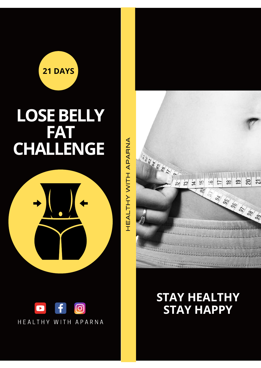

# **LOSEBELLY FAT CHALLENGE**





HEA $\overline{\phantom{0}}$  $\vdash$ I  $\succ$ WIT I Aቢ A $\mathfrak n$ Z A



**STAY HEALTHY STAY HAPPY**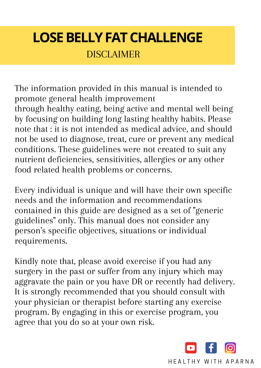# **LOSE BELLY FAT CHALLENGE**

**DISCLAIMER** 

The information provided in this manual is intended to promote general health improvement through healthy eating, being active and mental well being by focusing on building long lasting healthy habits. Please note that : it is not intended as medical advice, and should not be used to diagnose, treat, cure or prevent any medical conditions. These guidelines were not created to suit any nutrient deficiencies, sensitivities, allergies or any other food related health problems or concerns.

Every individual is unique and will have their own specific needs and the information and recommendations contained in this guide are designed as a set of "generic guidelines" only. This manual does not consider any person's specific objectives, situations or individual requirements.

Kindly note that, please avoid exercise if you had any surgery in the past or suffer from any injury which may aggravate the pain or you have DR or recently had delivery. It is strongly recommended that you should consult with your physician or therapist before starting any exercise program. By engaging in this or exercise program, you agree that you do so at your own risk.

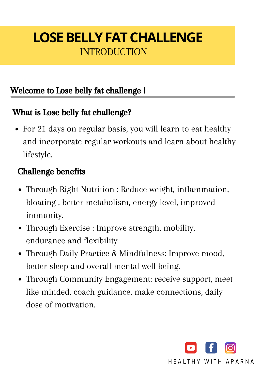# INTRODUCTION **LOSE BELLY FAT CHALLENGE**

#### Welcome to Lose belly fat challenge !

#### What is Lose belly fat challenge?

For 21 days on regular basis, you will learn to eat healthy and incorporate regular workouts and learn about healthy lifestyle.

#### Challenge benefits

- Through Right Nutrition : Reduce weight, inflammation, bloating , better metabolism, energy level, improved immunity.
- Through Exercise : Improve strength, mobility, endurance and flexibility
- Through Daily Practice & Mindfulness: Improve mood, better sleep and overall mental well being.
- Through Community Engagement: receive support, meet like minded, coach guidance, make connections, daily dose of motivation.

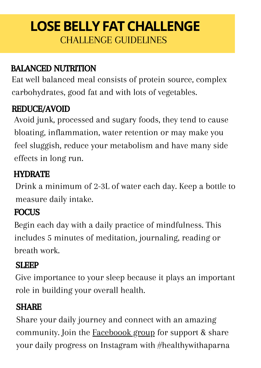# CHALLENGE GUIDELINES **LOSE BELLY FAT CHALLENGE**

#### BALANCED NUTRITION

Eat well balanced meal consists of protein source, complex carbohydrates, good fat and with lots of vegetables.

#### REDUCE/AVOID

Avoid junk, processed and sugary foods, they tend to cause bloating, inflammation, water retention or may make you feel sluggish, reduce your metabolism and have many side effects in long run.

#### **HYDRATE**

Drink a minimum of 2-3L of water each day. Keep a bottle to measure daily intake.

#### **FOCUS**

Begin each day with a daily practice of mindfulness. This includes 5 minutes of meditation, journaling, reading or breath work.

#### **SLEEP**

Give importance to your sleep because it plays an important role in building your overall health.

#### SHARE

Share your daily journey and connect with an amazing community. Join the **[Faceboook](https://www.facebook.com/groups/healthywithaparna)** group for support & share your daily progress on Instagram with #healthywithaparna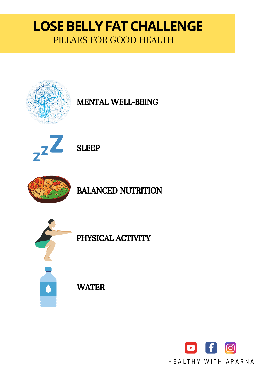### PILLARS FOR GOOD HEALTH **LOSE BELLY FAT CHALLENGE**



MENTAL WELL-BEING





BALANCED NUTRITION



PHYSICAL ACTIVITY

**WATER** 

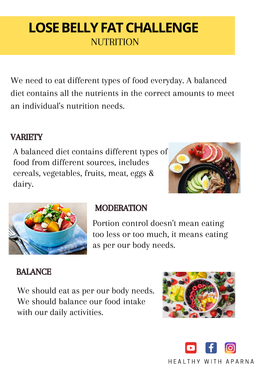# **NUTRITION LOSE BELLY FAT CHALLENGE**

We need to eat different types of food everyday. A balanced diet contains all the nutrients in the correct amounts to meet an individual's nutrition needs.

#### **VARIETY**

A balanced diet contains different types of food from different sources, includes cereals, vegetables, fruits, meat, eggs & dairy.





#### **MODERATION**

Portion control doesn't mean eating too less or too much, it means eating as per our body needs.

#### BALANCE

We should eat as per our body needs. We should balance our food intake with our daily activities.



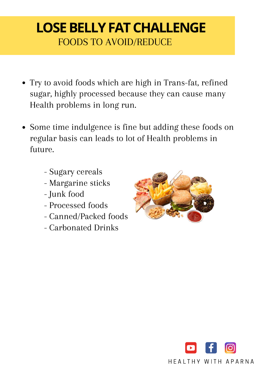# FOODS TO AVOID/REDUCE **LOSE BELLY FAT CHALLENGE**

- Try to avoid foods which are high in Trans-fat, refined sugar, highly processed because they can cause many Health problems in long run.
- Some time indulgence is fine but adding these foods on regular basis can leads to lot of Health problems in future.
	- Sugary cereals
	- Margarine sticks
	- Junk food
	- Processed foods
	- Canned/Packed foods
	- Carbonated Drinks



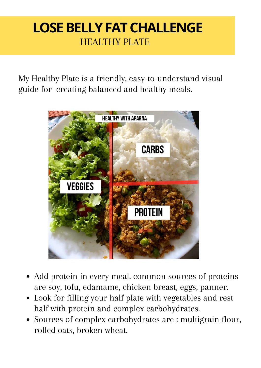### HEALTHY PLATE **LOSE BELLY FAT CHALLENGE**

My Healthy Plate is a friendly, easy-to-understand visual guide for creating balanced and healthy meals.



- Add protein in every meal, common sources of proteins are soy, tofu, edamame, chicken breast, eggs, panner.
- Look for filling your half plate with vegetables and rest half with protein and complex carbohydrates.
- Sources of complex carbohydrates are : multigrain flour, rolled oats, broken wheat.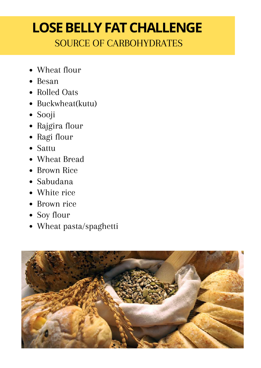### SOURCE OF CARBOHYDRATES **LOSE BELLY FAT CHALLENGE**

- Wheat flour
- Besan
- Rolled Oats
- Buckwheat(kutu)
- Sooji
- Rajgira flour
- Ragi flour
- Sattu
- Wheat Bread
- Brown Rice
- Sabudana
- White rice
- Brown rice
- Soy flour
- Wheat pasta/spaghetti

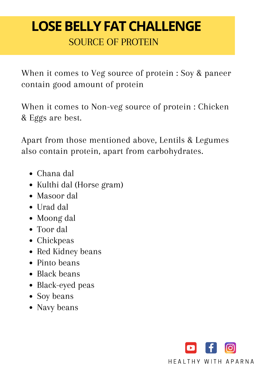# SOURCE OF PROTEIN **LOSE BELLY FAT CHALLENGE**

When it comes to Veg source of protein : Soy & paneer contain good amount of protein

When it comes to Non-veg source of protein : Chicken & Eggs are best.

Apart from those mentioned above, Lentils & Legumes also contain protein, apart from carbohydrates.

- Chana dal
- Kulthi dal (Horse gram)
- Masoor dal
- Urad dal
- Moong dal
- Toor dal
- Chickpeas
- Red Kidney beans
- Pinto beans
- Black beans
- Black-eyed peas
- Soy beans
- Navy beans

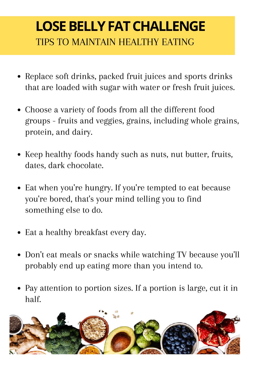# TIPS TO MAINTAIN HEALTHY EATING **LOSE BELLY FAT CHALLENGE**

- Replace soft drinks, packed fruit juices and sports drinks that are loaded with sugar with water or fresh fruit juices.
- Choose a variety of foods from all the different food groups - fruits and veggies, grains, including whole grains, protein, and dairy.
- Keep healthy foods handy such as nuts, nut butter, fruits, dates, dark chocolate.
- Eat when you 're hungry. If you 're tempted to eat because you 're bored, that's your mind telling you to find something else to do.
- Eat a healthy breakfast every day.
- Don't eat meals or snacks while watching TV because you 'll probably end up eating more than you intend to.
- Pay attention to portion sizes. If a portion is large, cut it in half.

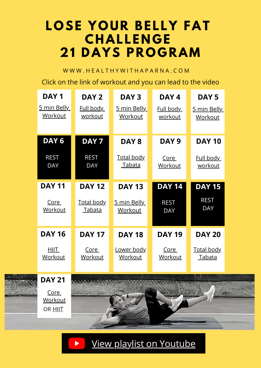# **LOSE YOUR BELLY FAT CHAL LE N G E 21 DAYS P ROG RAM**

W W W . HEAL THY WITH A PARNA . COM

Click on the link of workout and you can lead to the video

| DAY <sub>1</sub>              | DAY 2                              | DAY <sub>3</sub>                   | DAY 4                         | DAY <sub>5</sub>              |
|-------------------------------|------------------------------------|------------------------------------|-------------------------------|-------------------------------|
| 5 min Belly<br><b>Workout</b> | Full body<br><u>workout</u>        | 5 min Belly<br>Workout             | Full body<br><u>workout</u>   | 5 min Belly<br><b>Workout</b> |
| DAY <sub>6</sub>              | DAY <sub>7</sub>                   | DAY <sub>8</sub>                   | DAY <sub>9</sub>              | <b>DAY 10</b>                 |
| <b>REST</b><br><b>DAY</b>     | <b>REST</b><br><b>DAY</b>          | <u>Total body</u><br><u>Tabata</u> | <u>Core</u><br><b>Workout</b> | Full body<br><u>workout</u>   |
|                               |                                    |                                    |                               |                               |
| <b>DAY 11</b>                 | <b>DAY 12</b>                      | <b>DAY 13</b>                      | <b>DAY 14</b>                 | <b>DAY 15</b>                 |
| <u>Core</u><br>Workout        | <b>Total body</b><br><u>Tabata</u> | 5 min Belly<br><u>Workout</u>      | <b>REST</b><br><b>DAY</b>     | <b>REST</b><br><b>DAY</b>     |
| <b>DAY 16</b>                 | <b>DAY 17</b>                      | <b>DAY 18</b>                      | <b>DAY 19</b>                 | <b>DAY 20</b>                 |

[Core](https://youtu.be/AJuB_SXcW74) **[Workout](https://youtu.be/AJuB_SXcW74)** OR **[HIIT](https://youtu.be/Y4ZpcARm77s)** 

**DAY 21**

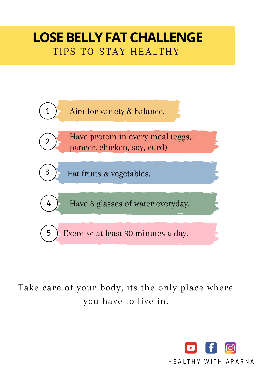### TIPS TO STAY HEALTHY **LOSE BELLY FAT CHALLENGE**



Take care of your body, its the only place where you have to live in.